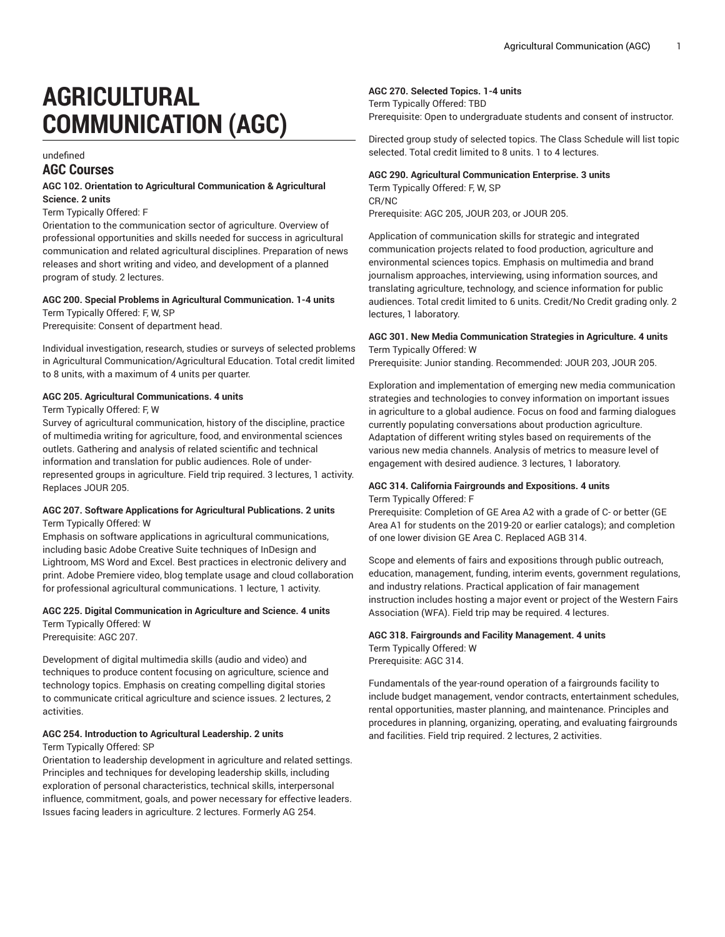# **AGRICULTURAL COMMUNICATION (AGC)**

# undefined **AGC Courses**

## **AGC 102. Orientation to Agricultural Communication & Agricultural Science. 2 units**

#### Term Typically Offered: F

Orientation to the communication sector of agriculture. Overview of professional opportunities and skills needed for success in agricultural communication and related agricultural disciplines. Preparation of news releases and short writing and video, and development of a planned program of study. 2 lectures.

#### **AGC 200. Special Problems in Agricultural Communication. 1-4 units** Term Typically Offered: F, W, SP

Prerequisite: Consent of department head.

Individual investigation, research, studies or surveys of selected problems in Agricultural Communication/Agricultural Education. Total credit limited to 8 units, with a maximum of 4 units per quarter.

## **AGC 205. Agricultural Communications. 4 units**

Term Typically Offered: F, W

Survey of agricultural communication, history of the discipline, practice of multimedia writing for agriculture, food, and environmental sciences outlets. Gathering and analysis of related scientific and technical information and translation for public audiences. Role of underrepresented groups in agriculture. Field trip required. 3 lectures, 1 activity. Replaces JOUR 205.

#### **AGC 207. Software Applications for Agricultural Publications. 2 units** Term Typically Offered: W

Emphasis on software applications in agricultural communications, including basic Adobe Creative Suite techniques of InDesign and Lightroom, MS Word and Excel. Best practices in electronic delivery and print. Adobe Premiere video, blog template usage and cloud collaboration for professional agricultural communications. 1 lecture, 1 activity.

# **AGC 225. Digital Communication in Agriculture and Science. 4 units** Term Typically Offered: W

Prerequisite: AGC 207.

Development of digital multimedia skills (audio and video) and techniques to produce content focusing on agriculture, science and technology topics. Emphasis on creating compelling digital stories to communicate critical agriculture and science issues. 2 lectures, 2 activities.

# **AGC 254. Introduction to Agricultural Leadership. 2 units**

Term Typically Offered: SP

Orientation to leadership development in agriculture and related settings. Principles and techniques for developing leadership skills, including exploration of personal characteristics, technical skills, interpersonal influence, commitment, goals, and power necessary for effective leaders. Issues facing leaders in agriculture. 2 lectures. Formerly AG 254.

# **AGC 270. Selected Topics. 1-4 units**

Term Typically Offered: TBD Prerequisite: Open to undergraduate students and consent of instructor.

Directed group study of selected topics. The Class Schedule will list topic selected. Total credit limited to 8 units. 1 to 4 lectures.

# **AGC 290. Agricultural Communication Enterprise. 3 units**

Term Typically Offered: F, W, SP CR/NC Prerequisite: AGC 205, JOUR 203, or JOUR 205.

Application of communication skills for strategic and integrated communication projects related to food production, agriculture and environmental sciences topics. Emphasis on multimedia and brand journalism approaches, interviewing, using information sources, and translating agriculture, technology, and science information for public audiences. Total credit limited to 6 units. Credit/No Credit grading only. 2 lectures, 1 laboratory.

#### **AGC 301. New Media Communication Strategies in Agriculture. 4 units** Term Typically Offered: W

Prerequisite: Junior standing. Recommended: JOUR 203, JOUR 205.

Exploration and implementation of emerging new media communication strategies and technologies to convey information on important issues in agriculture to a global audience. Focus on food and farming dialogues currently populating conversations about production agriculture. Adaptation of different writing styles based on requirements of the various new media channels. Analysis of metrics to measure level of engagement with desired audience. 3 lectures, 1 laboratory.

## **AGC 314. California Fairgrounds and Expositions. 4 units** Term Typically Offered: F

Prerequisite: Completion of GE Area A2 with a grade of C- or better (GE Area A1 for students on the 2019-20 or earlier catalogs); and completion of one lower division GE Area C. Replaced AGB 314.

Scope and elements of fairs and expositions through public outreach, education, management, funding, interim events, government regulations, and industry relations. Practical application of fair management instruction includes hosting a major event or project of the Western Fairs Association (WFA). Field trip may be required. 4 lectures.

#### **AGC 318. Fairgrounds and Facility Management. 4 units** Term Typically Offered: W Prerequisite: AGC 314.

Fundamentals of the year-round operation of a fairgrounds facility to include budget management, vendor contracts, entertainment schedules, rental opportunities, master planning, and maintenance. Principles and procedures in planning, organizing, operating, and evaluating fairgrounds and facilities. Field trip required. 2 lectures, 2 activities.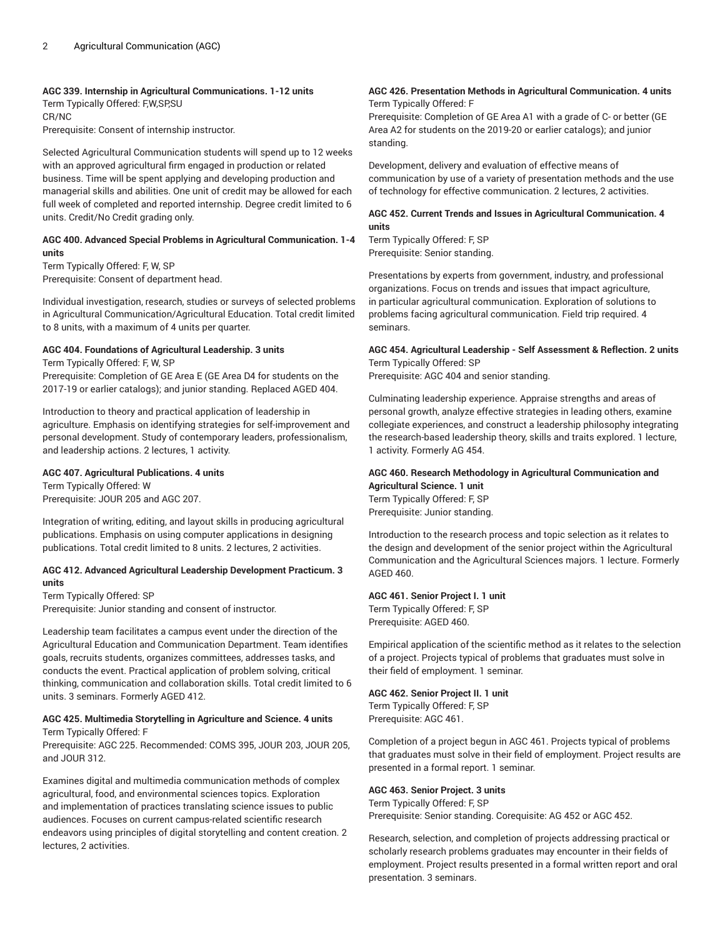#### **AGC 339. Internship in Agricultural Communications. 1-12 units**

Term Typically Offered: F,W,SP,SU CR/NC

Prerequisite: Consent of internship instructor.

Selected Agricultural Communication students will spend up to 12 weeks with an approved agricultural firm engaged in production or related business. Time will be spent applying and developing production and managerial skills and abilities. One unit of credit may be allowed for each full week of completed and reported internship. Degree credit limited to 6 units. Credit/No Credit grading only.

## **AGC 400. Advanced Special Problems in Agricultural Communication. 1-4 units**

Term Typically Offered: F, W, SP Prerequisite: Consent of department head.

Individual investigation, research, studies or surveys of selected problems in Agricultural Communication/Agricultural Education. Total credit limited to 8 units, with a maximum of 4 units per quarter.

# **AGC 404. Foundations of Agricultural Leadership. 3 units**

Term Typically Offered: F, W, SP Prerequisite: Completion of GE Area E (GE Area D4 for students on the 2017-19 or earlier catalogs); and junior standing. Replaced AGED 404.

Introduction to theory and practical application of leadership in agriculture. Emphasis on identifying strategies for self-improvement and personal development. Study of contemporary leaders, professionalism, and leadership actions. 2 lectures, 1 activity.

# **AGC 407. Agricultural Publications. 4 units**

Term Typically Offered: W Prerequisite: JOUR 205 and AGC 207.

Integration of writing, editing, and layout skills in producing agricultural publications. Emphasis on using computer applications in designing publications. Total credit limited to 8 units. 2 lectures, 2 activities.

#### **AGC 412. Advanced Agricultural Leadership Development Practicum. 3 units**

Term Typically Offered: SP Prerequisite: Junior standing and consent of instructor.

Leadership team facilitates a campus event under the direction of the Agricultural Education and Communication Department. Team identifies goals, recruits students, organizes committees, addresses tasks, and conducts the event. Practical application of problem solving, critical thinking, communication and collaboration skills. Total credit limited to 6 units. 3 seminars. Formerly AGED 412.

#### **AGC 425. Multimedia Storytelling in Agriculture and Science. 4 units** Term Typically Offered: F

Prerequisite: AGC 225. Recommended: COMS 395, JOUR 203, JOUR 205, and JOUR 312.

Examines digital and multimedia communication methods of complex agricultural, food, and environmental sciences topics. Exploration and implementation of practices translating science issues to public audiences. Focuses on current campus-related scientific research endeavors using principles of digital storytelling and content creation. 2 lectures, 2 activities.

#### **AGC 426. Presentation Methods in Agricultural Communication. 4 units** Term Typically Offered: F

Prerequisite: Completion of GE Area A1 with a grade of C- or better (GE Area A2 for students on the 2019-20 or earlier catalogs); and junior standing.

Development, delivery and evaluation of effective means of communication by use of a variety of presentation methods and the use of technology for effective communication. 2 lectures, 2 activities.

## **AGC 452. Current Trends and Issues in Agricultural Communication. 4 units**

Term Typically Offered: F, SP Prerequisite: Senior standing.

Presentations by experts from government, industry, and professional organizations. Focus on trends and issues that impact agriculture, in particular agricultural communication. Exploration of solutions to problems facing agricultural communication. Field trip required. 4 seminars.

#### **AGC 454. Agricultural Leadership - Self Assessment & Reflection. 2 units** Term Typically Offered: SP

Prerequisite: AGC 404 and senior standing.

Culminating leadership experience. Appraise strengths and areas of personal growth, analyze effective strategies in leading others, examine collegiate experiences, and construct a leadership philosophy integrating the research-based leadership theory, skills and traits explored. 1 lecture, 1 activity. Formerly AG 454.

#### **AGC 460. Research Methodology in Agricultural Communication and Agricultural Science. 1 unit** Term Typically Offered: F, SP

Prerequisite: Junior standing.

Introduction to the research process and topic selection as it relates to the design and development of the senior project within the Agricultural Communication and the Agricultural Sciences majors. 1 lecture. Formerly AGED 460.

# **AGC 461. Senior Project I. 1 unit**

Term Typically Offered: F, SP Prerequisite: AGED 460.

Empirical application of the scientific method as it relates to the selection of a project. Projects typical of problems that graduates must solve in their field of employment. 1 seminar.

# **AGC 462. Senior Project II. 1 unit**

Term Typically Offered: F, SP Prerequisite: AGC 461.

Completion of a project begun in AGC 461. Projects typical of problems that graduates must solve in their field of employment. Project results are presented in a formal report. 1 seminar.

# **AGC 463. Senior Project. 3 units**

Term Typically Offered: F, SP Prerequisite: Senior standing. Corequisite: AG 452 or AGC 452.

Research, selection, and completion of projects addressing practical or scholarly research problems graduates may encounter in their fields of employment. Project results presented in a formal written report and oral presentation. 3 seminars.